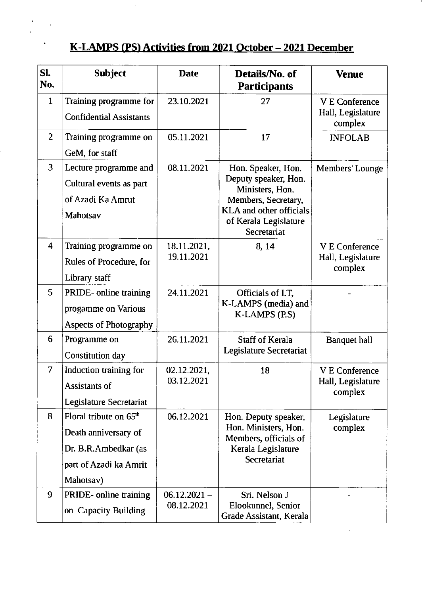## K-LAMPS (PS) Activities from 2021 October - 2021 December

 $\bar{z}$ 

 $\ddot{\bullet}$ 

 $\ddot{\phantom{0}}$ 

 $\gamma$ 

 $\ddot{\bullet}$ 

| Sl.<br>No.              | <b>Subject</b>                                                                                                            | <b>Date</b>                  | Details/No. of<br><b>Participants</b>                                                                                                                          | <b>Venue</b>                                          |
|-------------------------|---------------------------------------------------------------------------------------------------------------------------|------------------------------|----------------------------------------------------------------------------------------------------------------------------------------------------------------|-------------------------------------------------------|
| $\mathbf{1}$            | Training programme for<br><b>Confidential Assistants</b>                                                                  | 23.10.2021                   | 27                                                                                                                                                             | <b>V E Conference</b><br>Hall, Legislature<br>complex |
| $\overline{2}$          | Training programme on<br>GeM, for staff                                                                                   | 05.11.2021                   | 17                                                                                                                                                             | <b>INFOLAB</b>                                        |
| 3                       | Lecture programme and<br>Cultural events as part<br>of Azadi Ka Amrut<br><b>Mahotsav</b>                                  | 08.11.2021                   | Hon. Speaker, Hon.<br>Deputy speaker, Hon.<br>Ministers, Hon.<br>Members, Secretary,<br><b>KLA</b> and other officials<br>of Kerala Legislature<br>Secretariat | Members' Lounge                                       |
| $\overline{\mathbf{4}}$ | Training programme on<br>Rules of Procedure, for<br>Library staff                                                         | 18.11.2021,<br>19.11.2021    | 8, 14                                                                                                                                                          | <b>V E Conference</b><br>Hall, Legislature<br>complex |
| 5                       | PRIDE- online training<br>progamme on Various<br><b>Aspects of Photography</b>                                            | 24.11.2021                   | Officials of I.T,<br>K-LAMPS (media) and<br>K-LAMPS (P.S)                                                                                                      |                                                       |
| 6                       | Programme on<br>Constitution day                                                                                          | 26.11.2021                   | <b>Staff of Kerala</b><br>Legislature Secretariat                                                                                                              | <b>Banquet hall</b>                                   |
| 7                       | Induction training for<br>Assistants of<br>Legislature Secretariat                                                        | 02.12.2021,<br>03.12.2021    | 18                                                                                                                                                             | <b>V E Conference</b><br>Hall, Legislature<br>complex |
| 8                       | Floral tribute on 65 <sup>th</sup><br>Death anniversary of<br>Dr. B.R.Ambedkar (as<br>part of Azadi ka Amrit<br>Mahotsav) | 06.12.2021                   | Hon. Deputy speaker,<br>Hon. Ministers, Hon.<br>Members, officials of<br>Kerala Legislature<br>Secretariat                                                     | Legislature<br>complex                                |
| 9                       | PRIDE- online training<br>on Capacity Building                                                                            | $06.12.2021 -$<br>08.12.2021 | Sri. Nelson J<br>Elookunnel, Senior<br>Grade Assistant, Kerala                                                                                                 |                                                       |

 $\hat{\mathcal{A}}$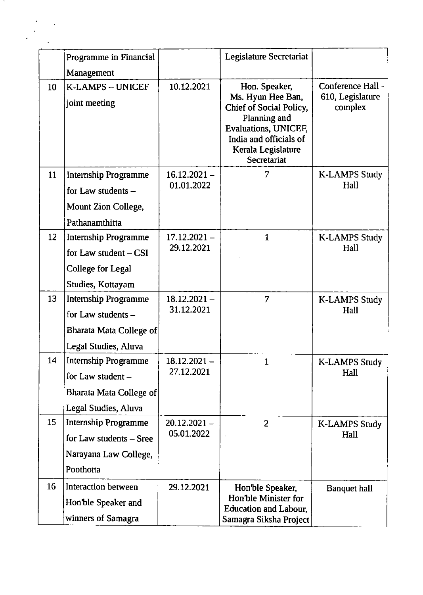|    | Programme in Financial<br>Management                                                                        |                              | <b>Legislature Secretariat</b>                                                                                                                                       |                                                  |
|----|-------------------------------------------------------------------------------------------------------------|------------------------------|----------------------------------------------------------------------------------------------------------------------------------------------------------------------|--------------------------------------------------|
| 10 | K-LAMPS - UNICEF<br>joint meeting                                                                           | 10.12.2021                   | Hon. Speaker,<br>Ms. Hyun Hee Ban,<br>Chief of Social Policy,<br>Planning and<br>Evaluations, UNICEF,<br>India and officials of<br>Kerala Legislature<br>Secretariat | Conference Hall -<br>610, Legislature<br>complex |
| 11 | <b>Internship Programme</b><br>for Law students -<br>Mount Zion College,<br>Pathanamthitta                  | $16.12.2021 -$<br>01.01.2022 | 7                                                                                                                                                                    | <b>K-LAMPS Study</b><br>Hall                     |
| 12 | <b>Internship Programme</b><br>for Law student $-$ CSI<br><b>College for Legal</b><br>Studies, Kottayam     | $17.12.2021 -$<br>29.12.2021 | $\mathbf{1}$                                                                                                                                                         | <b>K-LAMPS Study</b><br>Hall                     |
| 13 | <b>Internship Programme</b><br>for Law students -<br><b>Bharata Mata College of</b><br>Legal Studies, Aluva | $18.12.2021 -$<br>31.12.2021 | $\overline{7}$                                                                                                                                                       | <b>K-LAMPS Study</b><br>Hall                     |
| 14 | <b>Internship Programme</b><br>for Law student -<br>Bharata Mata College of<br>Legal Studies, Aluva         | $18.12.2021 -$<br>27.12.2021 | $\mathbf{1}$                                                                                                                                                         | <b>K-LAMPS Study</b><br>Hall                     |
| 15 | <b>Internship Programme</b><br>for Law students - Sree<br>Narayana Law College,<br>Poothotta                | $20.12.2021 -$<br>05.01.2022 | $\overline{2}$                                                                                                                                                       | <b>K-LAMPS Study</b><br>Hall                     |
| 16 | <b>Interaction between</b><br>Hon'ble Speaker and<br>winners of Samagra                                     | 29.12.2021                   | Hon'ble Speaker,<br>Hon'ble Minister for<br><b>Education and Labour,</b><br>Samagra Siksha Project                                                                   | <b>Banquet hall</b>                              |

 $\mathcal{L}$